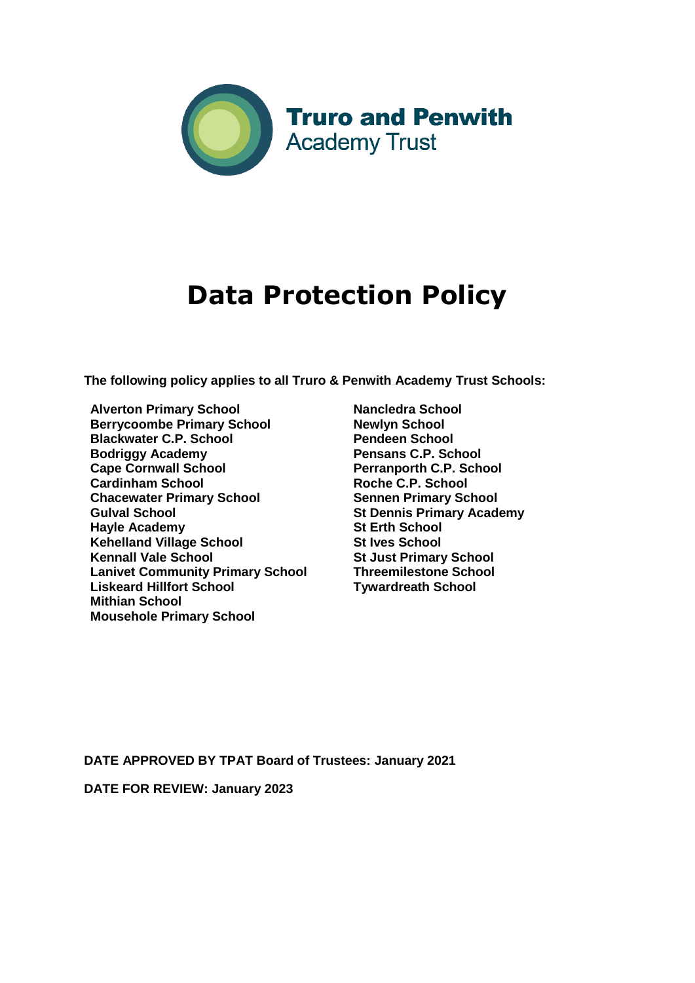

# **Data Protection Policy**

**The following policy applies to all Truro & Penwith Academy Trust Schools:** 

- **Alverton Primary School Berrycoombe Primary School Blackwater C.P. School Bodriggy Academy Cape Cornwall School Cardinham School Chacewater Primary School Gulval School Hayle Academy Kehelland Village School Kennall Vale School Lanivet Community Primary School Liskeard Hillfort School Mithian School Mousehole Primary School**
- **Nancledra School Newlyn School Pendeen School Pensans C.P. School Perranporth C.P. School Roche C.P. School Sennen Primary School St Dennis Primary Academy St Erth School St Ives School St Just Primary School Threemilestone School Tywardreath School**

**DATE APPROVED BY TPAT Board of Trustees: January 2021**

**DATE FOR REVIEW: January 2023**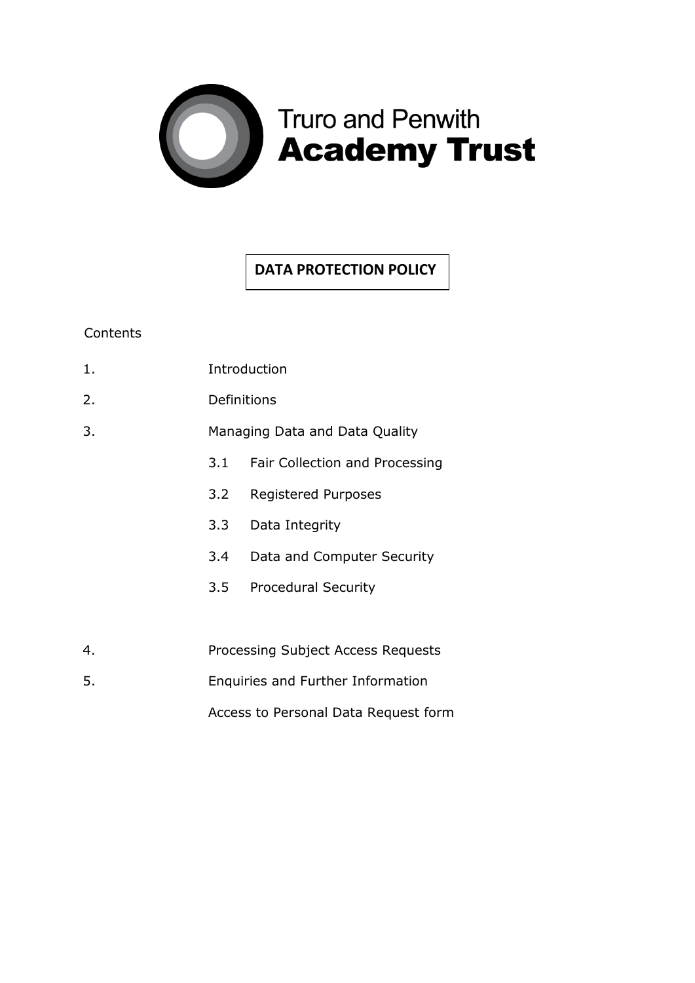

# **DATA PROTECTION POLICY**

# **Contents**

| 1. | Introduction                                                              |                                |  |
|----|---------------------------------------------------------------------------|--------------------------------|--|
| 2. | Definitions                                                               |                                |  |
| 3. | Managing Data and Data Quality                                            |                                |  |
|    | 3.1                                                                       | Fair Collection and Processing |  |
|    | 3.2                                                                       | <b>Registered Purposes</b>     |  |
|    | 3.3                                                                       | Data Integrity                 |  |
|    | 3.4                                                                       | Data and Computer Security     |  |
|    | 3.5                                                                       | <b>Procedural Security</b>     |  |
|    |                                                                           |                                |  |
| 4. | Processing Subject Access Requests                                        |                                |  |
| 5. | Enquiries and Further Information<br>Access to Personal Data Request form |                                |  |
|    |                                                                           |                                |  |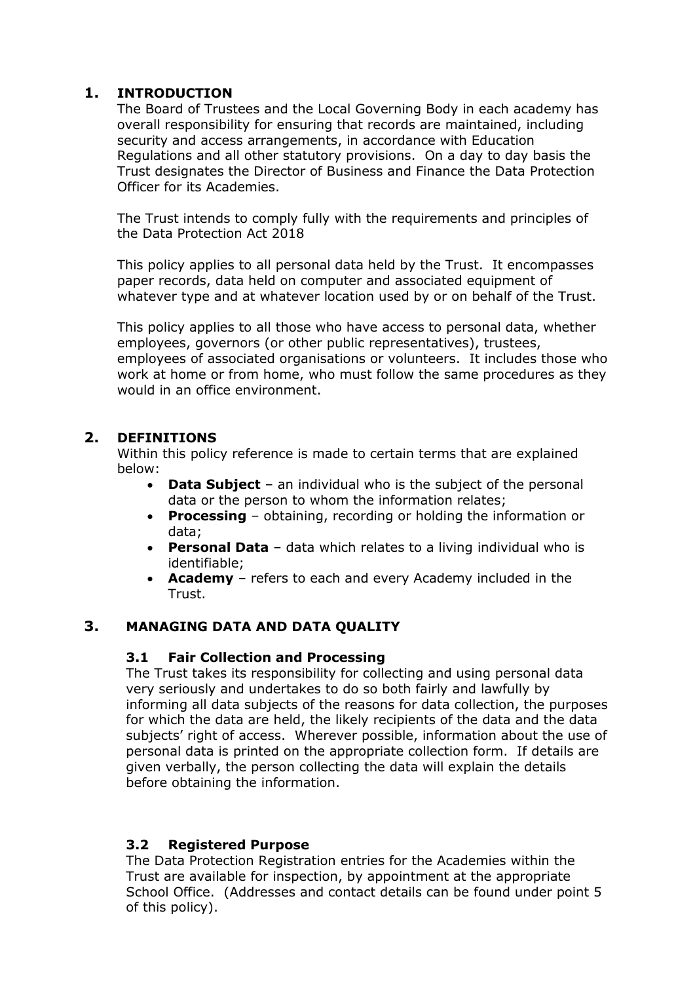# **1. INTRODUCTION**

The Board of Trustees and the Local Governing Body in each academy has overall responsibility for ensuring that records are maintained, including security and access arrangements, in accordance with Education Regulations and all other statutory provisions. On a day to day basis the Trust designates the Director of Business and Finance the Data Protection Officer for its Academies.

The Trust intends to comply fully with the requirements and principles of the Data Protection Act 2018

This policy applies to all personal data held by the Trust. It encompasses paper records, data held on computer and associated equipment of whatever type and at whatever location used by or on behalf of the Trust.

This policy applies to all those who have access to personal data, whether employees, governors (or other public representatives), trustees, employees of associated organisations or volunteers. It includes those who work at home or from home, who must follow the same procedures as they would in an office environment.

# **2. DEFINITIONS**

Within this policy reference is made to certain terms that are explained below:

- **Data Subject** an individual who is the subject of the personal data or the person to whom the information relates;
- **Processing** obtaining, recording or holding the information or data;
- **Personal Data** data which relates to a living individual who is identifiable;
- **Academy** refers to each and every Academy included in the Trust.

# **3. MANAGING DATA AND DATA QUALITY**

# **3.1 Fair Collection and Processing**

The Trust takes its responsibility for collecting and using personal data very seriously and undertakes to do so both fairly and lawfully by informing all data subjects of the reasons for data collection, the purposes for which the data are held, the likely recipients of the data and the data subjects' right of access. Wherever possible, information about the use of personal data is printed on the appropriate collection form. If details are given verbally, the person collecting the data will explain the details before obtaining the information.

# **3.2 Registered Purpose**

The Data Protection Registration entries for the Academies within the Trust are available for inspection, by appointment at the appropriate School Office. (Addresses and contact details can be found under point 5 of this policy).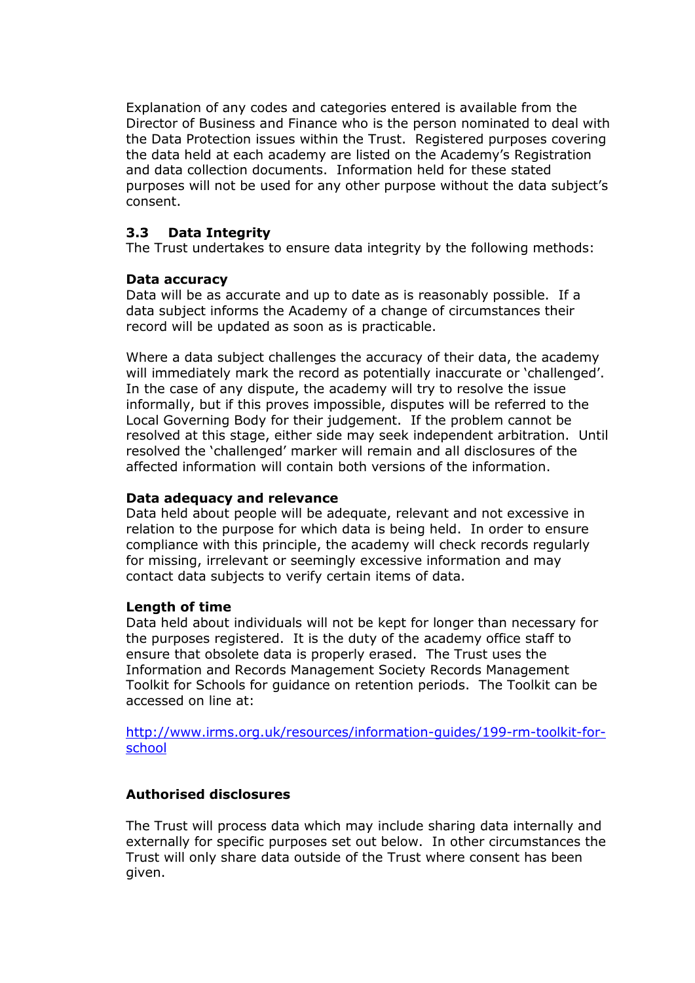Explanation of any codes and categories entered is available from the Director of Business and Finance who is the person nominated to deal with the Data Protection issues within the Trust. Registered purposes covering the data held at each academy are listed on the Academy's Registration and data collection documents. Information held for these stated purposes will not be used for any other purpose without the data subject's consent.

# **3.3 Data Integrity**

The Trust undertakes to ensure data integrity by the following methods:

#### **Data accuracy**

Data will be as accurate and up to date as is reasonably possible. If a data subject informs the Academy of a change of circumstances their record will be updated as soon as is practicable.

Where a data subject challenges the accuracy of their data, the academy will immediately mark the record as potentially inaccurate or 'challenged'. In the case of any dispute, the academy will try to resolve the issue informally, but if this proves impossible, disputes will be referred to the Local Governing Body for their judgement. If the problem cannot be resolved at this stage, either side may seek independent arbitration. Until resolved the 'challenged' marker will remain and all disclosures of the affected information will contain both versions of the information.

#### **Data adequacy and relevance**

Data held about people will be adequate, relevant and not excessive in relation to the purpose for which data is being held. In order to ensure compliance with this principle, the academy will check records regularly for missing, irrelevant or seemingly excessive information and may contact data subjects to verify certain items of data.

#### **Length of time**

Data held about individuals will not be kept for longer than necessary for the purposes registered. It is the duty of the academy office staff to ensure that obsolete data is properly erased. The Trust uses the Information and Records Management Society Records Management Toolkit for Schools for guidance on retention periods. The Toolkit can be accessed on line at:

[http://www.irms.org.uk/resources/information-guides/199-rm-toolkit-for](http://www.irms.org.uk/resources/information-guides/199-rm-toolkit-for-school)[school](http://www.irms.org.uk/resources/information-guides/199-rm-toolkit-for-school)

# **Authorised disclosures**

The Trust will process data which may include sharing data internally and externally for specific purposes set out below. In other circumstances the Trust will only share data outside of the Trust where consent has been given.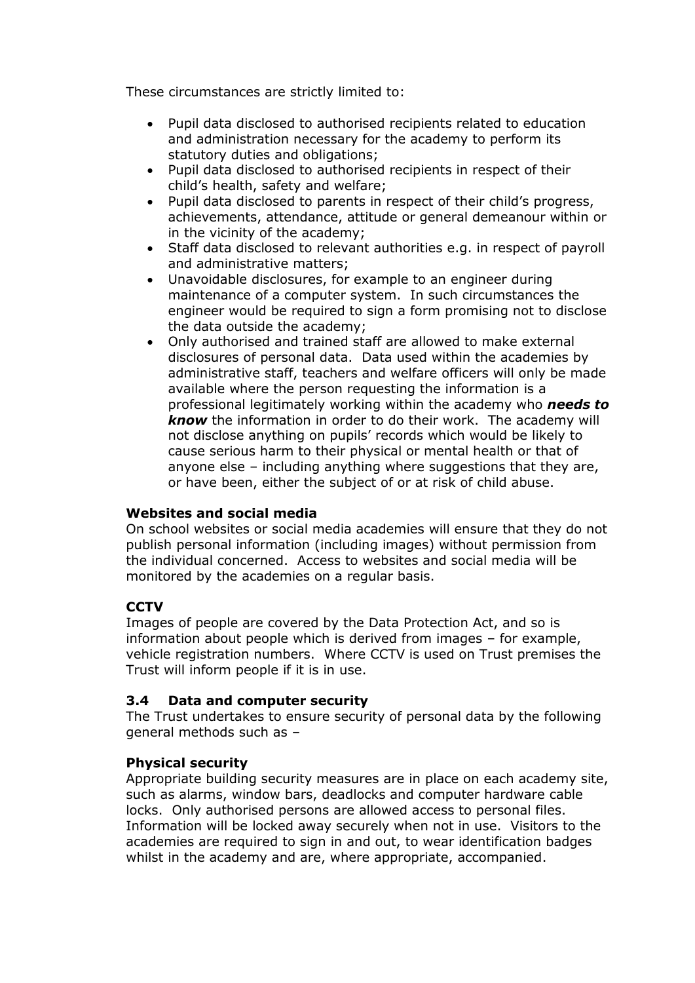These circumstances are strictly limited to:

- Pupil data disclosed to authorised recipients related to education and administration necessary for the academy to perform its statutory duties and obligations;
- Pupil data disclosed to authorised recipients in respect of their child's health, safety and welfare;
- Pupil data disclosed to parents in respect of their child's progress, achievements, attendance, attitude or general demeanour within or in the vicinity of the academy;
- Staff data disclosed to relevant authorities e.g. in respect of payroll and administrative matters;
- Unavoidable disclosures, for example to an engineer during maintenance of a computer system. In such circumstances the engineer would be required to sign a form promising not to disclose the data outside the academy;
- Only authorised and trained staff are allowed to make external disclosures of personal data. Data used within the academies by administrative staff, teachers and welfare officers will only be made available where the person requesting the information is a professional legitimately working within the academy who *needs to know* the information in order to do their work. The academy will not disclose anything on pupils' records which would be likely to cause serious harm to their physical or mental health or that of anyone else – including anything where suggestions that they are, or have been, either the subject of or at risk of child abuse.

# **Websites and social media**

On school websites or social media academies will ensure that they do not publish personal information (including images) without permission from the individual concerned. Access to websites and social media will be monitored by the academies on a regular basis.

# **CCTV**

Images of people are covered by the Data Protection Act, and so is information about people which is derived from images – for example, vehicle registration numbers. Where CCTV is used on Trust premises the Trust will inform people if it is in use.

#### **3.4 Data and computer security**

The Trust undertakes to ensure security of personal data by the following general methods such as –

# **Physical security**

Appropriate building security measures are in place on each academy site, such as alarms, window bars, deadlocks and computer hardware cable locks. Only authorised persons are allowed access to personal files. Information will be locked away securely when not in use. Visitors to the academies are required to sign in and out, to wear identification badges whilst in the academy and are, where appropriate, accompanied.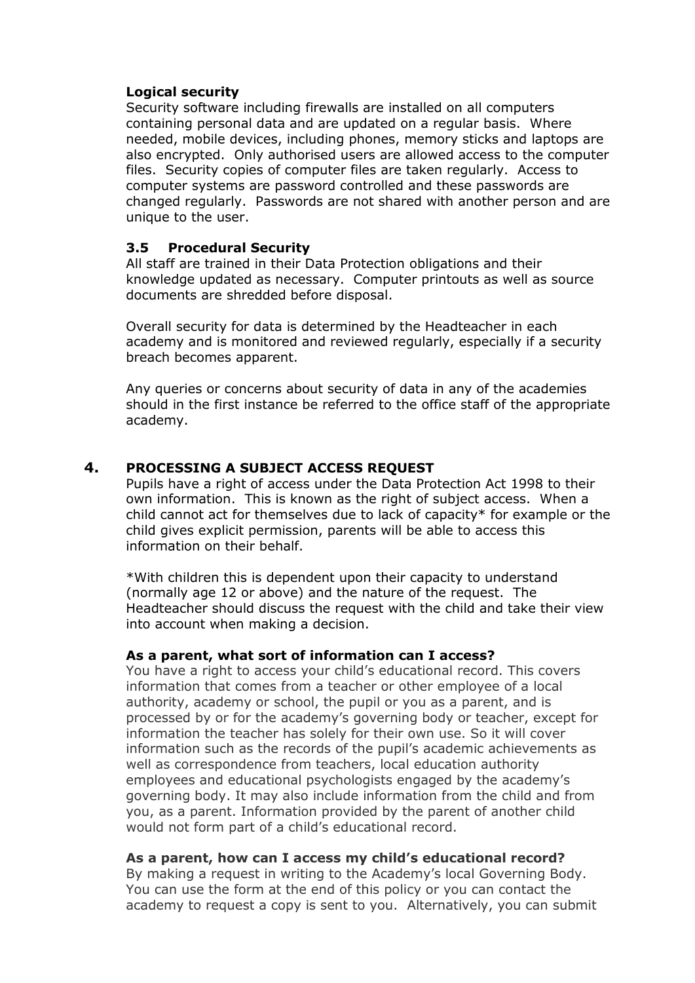# **Logical security**

Security software including firewalls are installed on all computers containing personal data and are updated on a regular basis. Where needed, mobile devices, including phones, memory sticks and laptops are also encrypted. Only authorised users are allowed access to the computer files. Security copies of computer files are taken regularly. Access to computer systems are password controlled and these passwords are changed regularly. Passwords are not shared with another person and are unique to the user.

#### **3.5 Procedural Security**

All staff are trained in their Data Protection obligations and their knowledge updated as necessary. Computer printouts as well as source documents are shredded before disposal.

Overall security for data is determined by the Headteacher in each academy and is monitored and reviewed regularly, especially if a security breach becomes apparent.

Any queries or concerns about security of data in any of the academies should in the first instance be referred to the office staff of the appropriate academy.

# **4. PROCESSING A SUBJECT ACCESS REQUEST**

Pupils have a right of access under the Data Protection Act 1998 to their own information. This is known as the right of subject access. When a child cannot act for themselves due to lack of capacity\* for example or the child gives explicit permission, parents will be able to access this information on their behalf.

\*With children this is dependent upon their capacity to understand (normally age 12 or above) and the nature of the request. The Headteacher should discuss the request with the child and take their view into account when making a decision.

#### **As a parent, what sort of information can I access?**

You have a right to access your child's educational record. This covers information that comes from a teacher or other employee of a local authority, academy or school, the pupil or you as a parent, and is processed by or for the academy's governing body or teacher, except for information the teacher has solely for their own use. So it will cover information such as the records of the pupil's academic achievements as well as correspondence from teachers, local education authority employees and educational psychologists engaged by the academy's governing body. It may also include information from the child and from you, as a parent. Information provided by the parent of another child would not form part of a child's educational record.

#### **As a parent, how can I access my child's educational record?**

By making a request in writing to the Academy's local Governing Body. You can use the form at the end of this policy or you can contact the academy to request a copy is sent to you. Alternatively, you can submit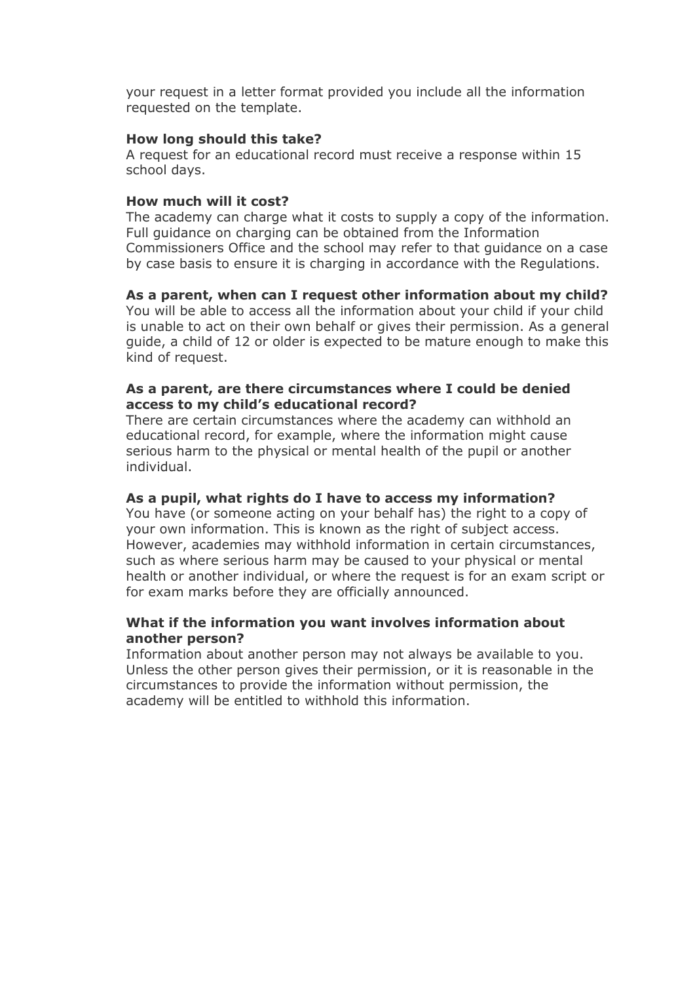your request in a letter format provided you include all the information requested on the template.

#### **How long should this take?**

A request for an educational record must receive a response within 15 school days.

#### **How much will it cost?**

The academy can charge what it costs to supply a copy of the information. Full guidance on charging can be obtained from the Information Commissioners Office and the school may refer to that guidance on a case by case basis to ensure it is charging in accordance with the Regulations.

#### **As a parent, when can I request other information about my child?**

You will be able to access all the information about your child if your child is unable to act on their own behalf or gives their permission. As a general guide, a child of 12 or older is expected to be mature enough to make this kind of request.

#### **As a parent, are there circumstances where I could be denied access to my child's educational record?**

There are certain circumstances where the academy can withhold an educational record, for example, where the information might cause serious harm to the physical or mental health of the pupil or another individual.

#### **As a pupil, what rights do I have to access my information?**

You have (or someone acting on your behalf has) the right to a copy of your own information. This is known as the right of subject access. However, academies may withhold information in certain circumstances, such as where serious harm may be caused to your physical or mental health or another individual, or where the request is for an exam script or for exam marks before they are officially announced.

#### **What if the information you want involves information about another person?**

Information about another person may not always be available to you. Unless the other person gives their permission, or it is reasonable in the circumstances to provide the information without permission, the academy will be entitled to withhold this information.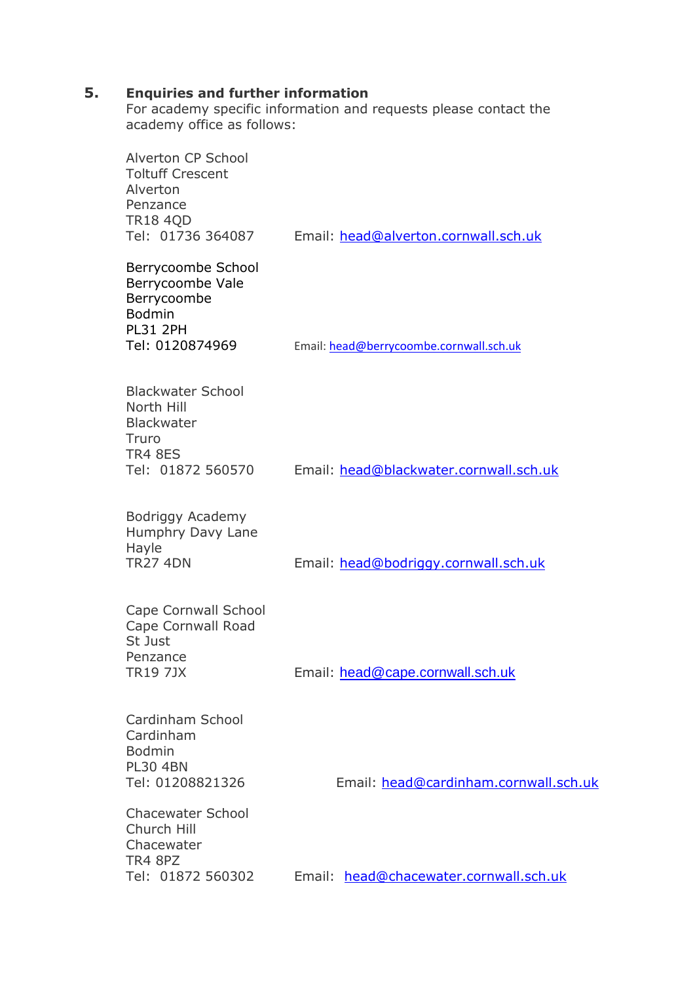#### **5. Enquiries and further information**

For academy specific information and requests please contact the academy office as follows:

| Alverton CP School<br><b>Toltuff Crescent</b><br>Alverton<br>Penzance<br><b>TR18 4QD</b><br>Tel: 01736 364087 | Email: head@alverton.cornwall.sch.uk    |
|---------------------------------------------------------------------------------------------------------------|-----------------------------------------|
| Berrycoombe School<br>Berrycoombe Vale<br>Berrycoombe<br><b>Bodmin</b><br><b>PL31 2PH</b><br>Tel: 0120874969  | Email: head@berrycoombe.cornwall.sch.uk |
| <b>Blackwater School</b><br>North Hill<br><b>Blackwater</b><br>Truro<br><b>TR4 8ES</b><br>Tel: 01872 560570   | Email: head@blackwater.cornwall.sch.uk  |
| Bodriggy Academy<br>Humphry Davy Lane<br>Hayle<br><b>TR27 4DN</b>                                             | Email: head@bodriggy.cornwall.sch.uk    |
| Cape Cornwall School<br><b>Cape Cornwall Road</b><br>St Just<br>Penzance<br><b>TR19 7JX</b>                   | Email: head@cape.cornwall.sch.uk        |
| Cardinham School<br>Cardinham<br><b>Bodmin</b><br><b>PL30 4BN</b><br>Tel: 01208821326                         | Email: head@cardinham.cornwall.sch.uk   |
| <b>Chacewater School</b><br>Church Hill<br>Chacewater<br><b>TR4 8PZ</b><br>Tel: 01872 560302                  | Email: head@chacewater.cornwall.sch.uk  |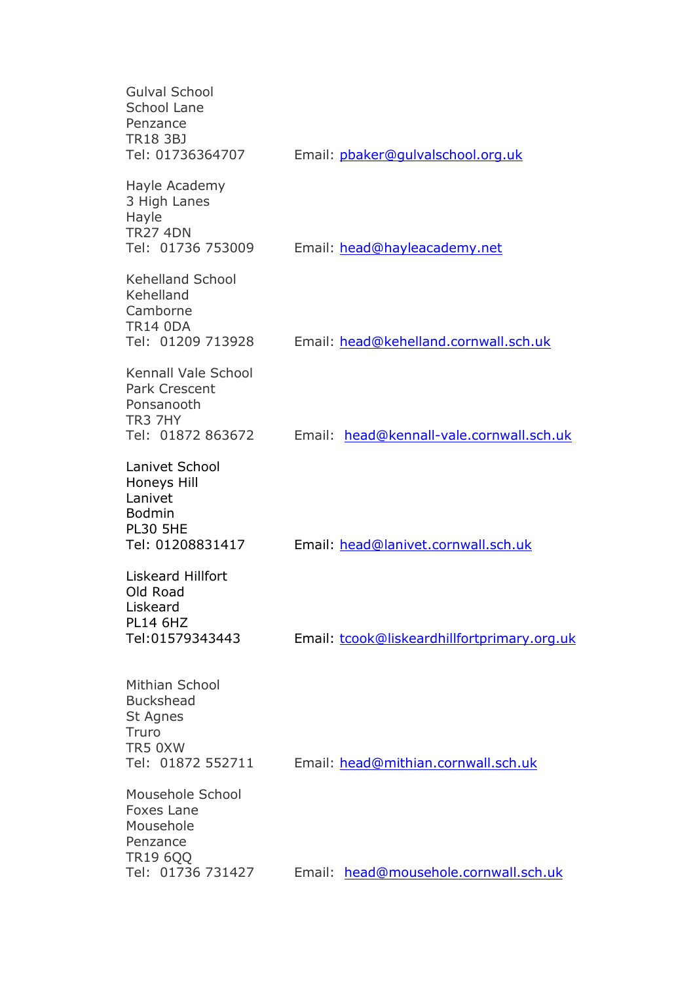| <b>Gulval School</b><br><b>School Lane</b><br>Penzance<br><b>TR18 3BJ</b><br>Tel: 01736364707           | Email: pbaker@qulvalschool.org.uk           |
|---------------------------------------------------------------------------------------------------------|---------------------------------------------|
| Hayle Academy<br>3 High Lanes<br>Hayle<br><b>TR27 4DN</b><br>Tel: 01736 753009                          | Email: head@hayleacademy.net                |
| <b>Kehelland School</b><br>Kehelland<br>Camborne<br><b>TR14 0DA</b><br>Tel: 01209 713928                | Email: head@kehelland.cornwall.sch.uk       |
| <b>Kennall Vale School</b><br><b>Park Crescent</b><br>Ponsanooth<br><b>TR3 7HY</b><br>Tel: 01872 863672 | Email: head@kennall-vale.cornwall.sch.uk    |
| Lanivet School<br>Honeys Hill<br>Lanivet<br><b>Bodmin</b><br><b>PL30 5HE</b><br>Tel: 01208831417        | Email: head@lanivet.cornwall.sch.uk         |
| <b>Liskeard Hillfort</b><br>Old Road<br>Liskeard<br><b>PL14 6HZ</b><br>Tel:01579343443                  | Email: tcook@liskeardhillfortprimary.org.uk |
| Mithian School<br><b>Buckshead</b><br>St Agnes<br>Truro<br>TR5 0XW<br>Tel: 01872 552711                 | Email: head@mithian.cornwall.sch.uk         |
| Mousehole School<br><b>Foxes Lane</b><br>Mousehole<br>Penzance                                          |                                             |
| TR19 6QQ<br>Tel: 01736 731427                                                                           | Email: head@mousehole.cornwall.sch.uk       |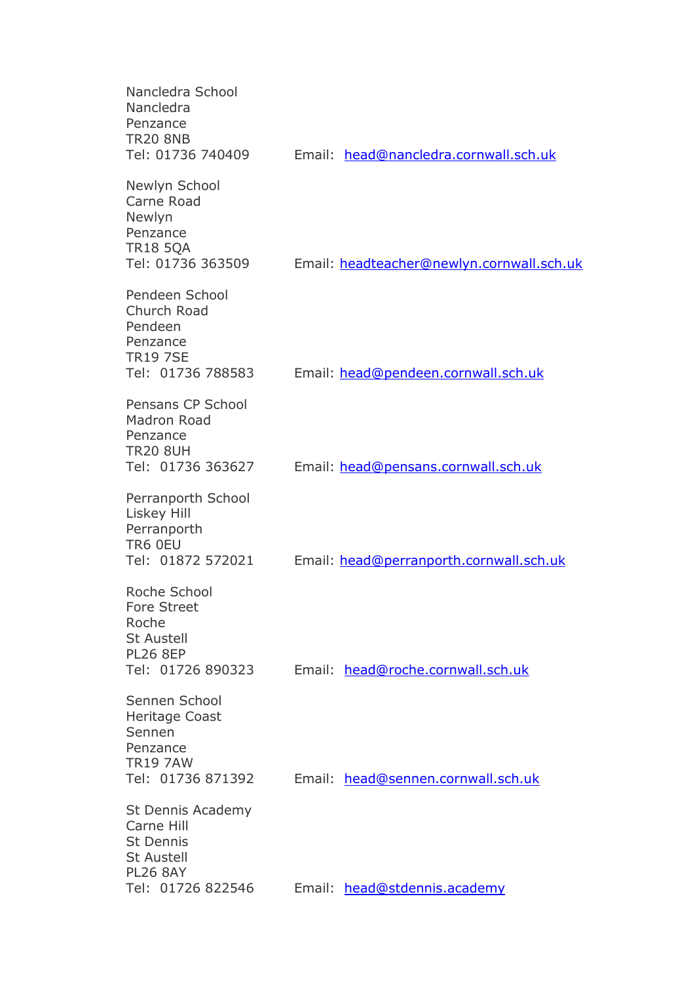| Nancledra School<br>Nancledra<br>Penzance<br><b>TR20 8NB</b><br>Tel: 01736 740409                                | Email: head@nancledra.cornwall.sch.uk     |
|------------------------------------------------------------------------------------------------------------------|-------------------------------------------|
| Newlyn School<br>Carne Road<br>Newlyn<br>Penzance<br><b>TR18 5QA</b><br>Tel: 01736 363509                        | Email: headteacher@newlyn.cornwall.sch.uk |
| Pendeen School<br>Church Road<br>Pendeen<br>Penzance<br><b>TR19 7SE</b><br>Tel: 01736 788583                     | Email: head@pendeen.cornwall.sch.uk       |
| Pensans CP School<br>Madron Road<br>Penzance<br><b>TR20 8UH</b><br>Tel: 01736 363627                             | Email: head@pensans.cornwall.sch.uk       |
| Perranporth School<br>Liskey Hill<br>Perranporth<br>TR6 0EU<br>Tel: 01872 572021                                 | Email: head@perranporth.cornwall.sch.uk   |
| Roche School<br>Fore Street<br>Roche<br><b>St Austell</b><br><b>PL26 8EP</b><br>Tel: 01726 890323                | Email: head@roche.cornwall.sch.uk         |
| Sennen School<br>Heritage Coast<br>Sennen<br>Penzance<br><b>TR19 7AW</b><br>Tel: 01736 871392                    | Email: head@sennen.cornwall.sch.uk        |
| St Dennis Academy<br>Carne Hill<br><b>St Dennis</b><br><b>St Austell</b><br><b>PL26 8AY</b><br>Tel: 01726 822546 | Email: head@stdennis.academy              |
|                                                                                                                  |                                           |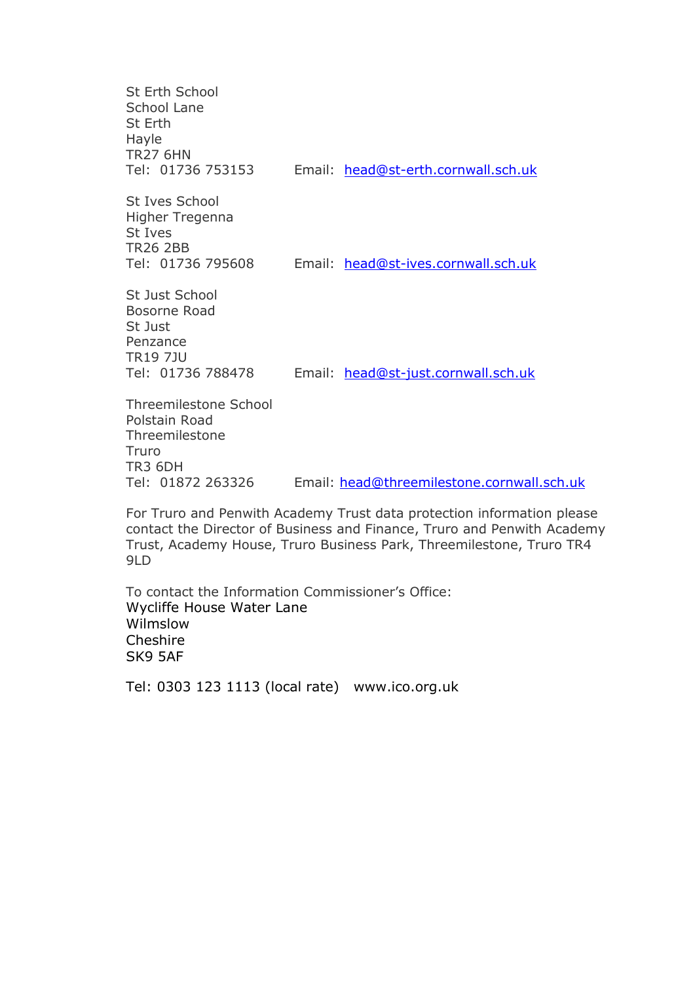| St Erth School<br>School Lane<br>St Erth<br>Hayle<br><b>TR27 6HN</b><br>Tel: 01736 753153                     | Email: head@st-erth.cornwall.sch.uk        |
|---------------------------------------------------------------------------------------------------------------|--------------------------------------------|
| St Ives School<br>Higher Tregenna<br>St Ives<br><b>TR26 2BB</b><br>Tel: 01736 795608                          | Email: head@st-ives.cornwall.sch.uk        |
| <b>St Just School</b><br>Bosorne Road<br>St Just<br>Penzance<br><b>TR19 7JU</b><br>Tel: 01736 788478          | Email: head@st-just.cornwall.sch.uk        |
| Threemilestone School<br>Polstain Road<br>Threemilestone<br>Truro<br>TR <sub>3</sub> 6DH<br>Tel: 01872 263326 | Email: head@threemilestone.cornwall.sch.uk |

For Truro and Penwith Academy Trust data protection information please contact the Director of Business and Finance, Truro and Penwith Academy Trust, Academy House, Truro Business Park, Threemilestone, Truro TR4 9LD

To contact the Information Commissioner's Office: Wycliffe House Water Lane Wilmslow Cheshire SK9 5AF

Tel: 0303 123 1113 (local rate) www.ico.org.uk